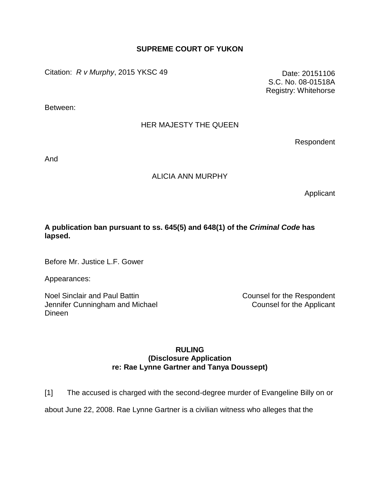# **SUPREME COURT OF YUKON**

Citation: *R v Murphy*, 2015 YKSC 49 Date: 20151106

Between:

# HER MAJESTY THE QUEEN

Respondent

S.C. No. 08-01518A Registry: Whitehorse

And

### ALICIA ANN MURPHY

Applicant

# **A publication ban pursuant to ss. 645(5) and 648(1) of the** *Criminal Code* **has lapsed.**

Before Mr. Justice L.F. Gower

Appearances:

Noel Sinclair and Paul Battin Jennifer Cunningham and Michael Dineen

Counsel for the Respondent Counsel for the Applicant

### **RULING (Disclosure Application re: Rae Lynne Gartner and Tanya Doussept)**

[1] The accused is charged with the second-degree murder of Evangeline Billy on or

about June 22, 2008. Rae Lynne Gartner is a civilian witness who alleges that the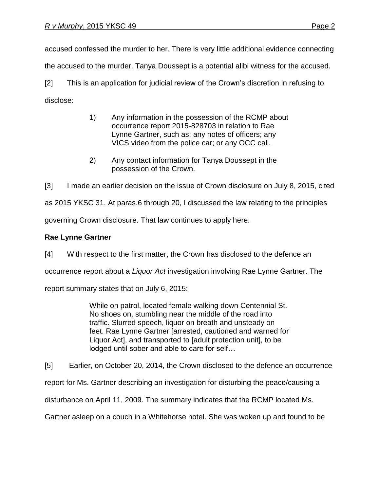accused confessed the murder to her. There is very little additional evidence connecting

the accused to the murder. Tanya Doussept is a potential alibi witness for the accused.

[2] This is an application for judicial review of the Crown's discretion in refusing to disclose:

- 1) Any information in the possession of the RCMP about occurrence report 2015-828703 in relation to Rae Lynne Gartner, such as: any notes of officers; any VICS video from the police car; or any OCC call.
- 2) Any contact information for Tanya Doussept in the possession of the Crown.

[3] I made an earlier decision on the issue of Crown disclosure on July 8, 2015, cited

as 2015 YKSC 31. At paras.6 through 20, I discussed the law relating to the principles

governing Crown disclosure. That law continues to apply here.

# **Rae Lynne Gartner**

[4] With respect to the first matter, the Crown has disclosed to the defence an

occurrence report about a *Liquor Act* investigation involving Rae Lynne Gartner. The

report summary states that on July 6, 2015:

While on patrol, located female walking down Centennial St. No shoes on, stumbling near the middle of the road into traffic. Slurred speech, liquor on breath and unsteady on feet. Rae Lynne Gartner [arrested, cautioned and warned for Liquor Act], and transported to [adult protection unit], to be lodged until sober and able to care for self…

[5] Earlier, on October 20, 2014, the Crown disclosed to the defence an occurrence

report for Ms. Gartner describing an investigation for disturbing the peace/causing a

disturbance on April 11, 2009. The summary indicates that the RCMP located Ms.

Gartner asleep on a couch in a Whitehorse hotel. She was woken up and found to be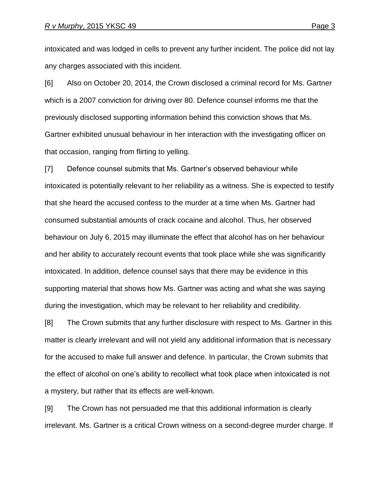intoxicated and was lodged in cells to prevent any further incident. The police did not lay any charges associated with this incident.

[6] Also on October 20, 2014, the Crown disclosed a criminal record for Ms. Gartner which is a 2007 conviction for driving over 80. Defence counsel informs me that the previously disclosed supporting information behind this conviction shows that Ms. Gartner exhibited unusual behaviour in her interaction with the investigating officer on that occasion, ranging from flirting to yelling.

[7] Defence counsel submits that Ms. Gartner's observed behaviour while intoxicated is potentially relevant to her reliability as a witness. She is expected to testify that she heard the accused confess to the murder at a time when Ms. Gartner had consumed substantial amounts of crack cocaine and alcohol. Thus, her observed behaviour on July 6, 2015 may illuminate the effect that alcohol has on her behaviour and her ability to accurately recount events that took place while she was significantly intoxicated. In addition, defence counsel says that there may be evidence in this supporting material that shows how Ms. Gartner was acting and what she was saying during the investigation, which may be relevant to her reliability and credibility.

[8] The Crown submits that any further disclosure with respect to Ms. Gartner in this matter is clearly irrelevant and will not yield any additional information that is necessary for the accused to make full answer and defence. In particular, the Crown submits that the effect of alcohol on one's ability to recollect what took place when intoxicated is not a mystery, but rather that its effects are well-known.

[9] The Crown has not persuaded me that this additional information is clearly irrelevant. Ms. Gartner is a critical Crown witness on a second-degree murder charge. If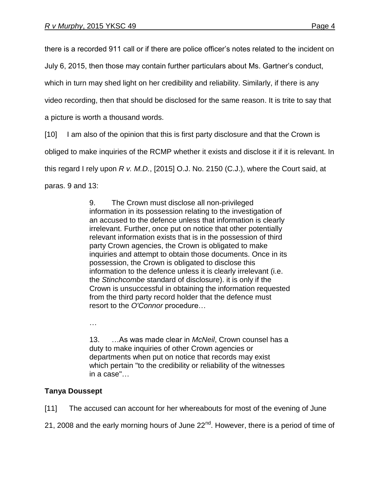there is a recorded 911 call or if there are police officer's notes related to the incident on

July 6, 2015, then those may contain further particulars about Ms. Gartner's conduct,

which in turn may shed light on her credibility and reliability. Similarly, if there is any

video recording, then that should be disclosed for the same reason. It is trite to say that

a picture is worth a thousand words.

[10] I am also of the opinion that this is first party disclosure and that the Crown is

obliged to make inquiries of the RCMP whether it exists and disclose it if it is relevant. In

this regard I rely upon *R v. M.D.*, [2015] O.J. No. 2150 (C.J.), where the Court said, at

paras. 9 and 13:

9. The Crown must disclose all non-privileged information in its possession relating to the investigation of an accused to the defence unless that information is clearly irrelevant. Further, once put on notice that other potentially relevant information exists that is in the possession of third party Crown agencies, the Crown is obligated to make inquiries and attempt to obtain those documents. Once in its possession, the Crown is obligated to disclose this information to the defence unless it is clearly irrelevant (i.e. the *Stinchcombe* standard of disclosure). it is only if the Crown is unsuccessful in obtaining the information requested from the third party record holder that the defence must resort to the *O'Connor* procedure…

…

13. …As was made clear in *McNeil*, Crown counsel has a duty to make inquiries of other Crown agencies or departments when put on notice that records may exist which pertain "to the credibility or reliability of the witnesses in a case"…

# **Tanya Doussept**

[11] The accused can account for her whereabouts for most of the evening of June

21, 2008 and the early morning hours of June 22<sup>nd</sup>. However, there is a period of time of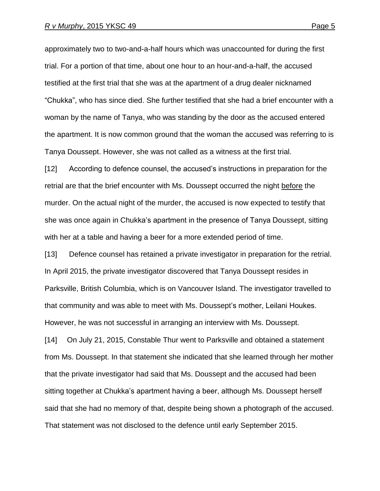approximately two to two-and-a-half hours which was unaccounted for during the first trial. For a portion of that time, about one hour to an hour-and-a-half, the accused testified at the first trial that she was at the apartment of a drug dealer nicknamed "Chukka", who has since died. She further testified that she had a brief encounter with a woman by the name of Tanya, who was standing by the door as the accused entered the apartment. It is now common ground that the woman the accused was referring to is Tanya Doussept. However, she was not called as a witness at the first trial.

[12] According to defence counsel, the accused's instructions in preparation for the retrial are that the brief encounter with Ms. Doussept occurred the night before the murder. On the actual night of the murder, the accused is now expected to testify that she was once again in Chukka's apartment in the presence of Tanya Doussept, sitting with her at a table and having a beer for a more extended period of time.

[13] Defence counsel has retained a private investigator in preparation for the retrial. In April 2015, the private investigator discovered that Tanya Doussept resides in Parksville, British Columbia, which is on Vancouver Island. The investigator travelled to that community and was able to meet with Ms. Doussept's mother, Leilani Houkes. However, he was not successful in arranging an interview with Ms. Doussept.

[14] On July 21, 2015, Constable Thur went to Parksville and obtained a statement from Ms. Doussept. In that statement she indicated that she learned through her mother that the private investigator had said that Ms. Doussept and the accused had been sitting together at Chukka's apartment having a beer, although Ms. Doussept herself said that she had no memory of that, despite being shown a photograph of the accused. That statement was not disclosed to the defence until early September 2015.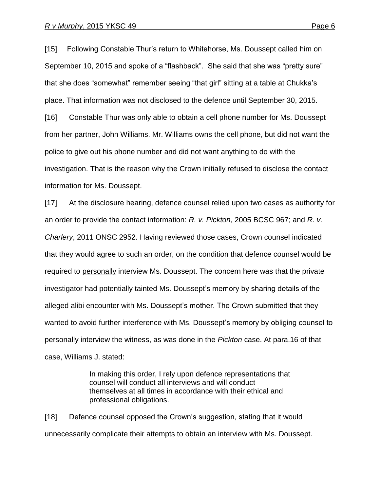[15] Following Constable Thur's return to Whitehorse, Ms. Doussept called him on September 10, 2015 and spoke of a "flashback". She said that she was "pretty sure" that she does "somewhat" remember seeing "that girl" sitting at a table at Chukka's place. That information was not disclosed to the defence until September 30, 2015. [16] Constable Thur was only able to obtain a cell phone number for Ms. Doussept from her partner, John Williams. Mr. Williams owns the cell phone, but did not want the police to give out his phone number and did not want anything to do with the investigation. That is the reason why the Crown initially refused to disclose the contact information for Ms. Doussept.

[17] At the disclosure hearing, defence counsel relied upon two cases as authority for an order to provide the contact information: *R. v. Pickton*, 2005 BCSC 967; and *R. v. Charlery*, 2011 ONSC 2952. Having reviewed those cases, Crown counsel indicated that they would agree to such an order, on the condition that defence counsel would be required to personally interview Ms. Doussept. The concern here was that the private investigator had potentially tainted Ms. Doussept's memory by sharing details of the alleged alibi encounter with Ms. Doussept's mother. The Crown submitted that they wanted to avoid further interference with Ms. Doussept's memory by obliging counsel to personally interview the witness, as was done in the *Pickton* case. At para.16 of that case, Williams J. stated:

> In making this order, I rely upon defence representations that counsel will conduct all interviews and will conduct themselves at all times in accordance with their ethical and professional obligations.

[18] Defence counsel opposed the Crown's suggestion, stating that it would unnecessarily complicate their attempts to obtain an interview with Ms. Doussept.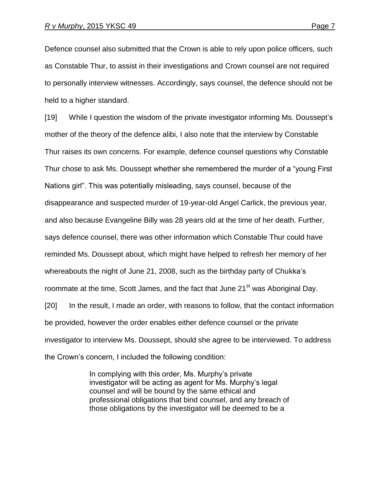Defence counsel also submitted that the Crown is able to rely upon police officers, such as Constable Thur, to assist in their investigations and Crown counsel are not required to personally interview witnesses. Accordingly, says counsel, the defence should not be held to a higher standard.

[19] While I question the wisdom of the private investigator informing Ms. Doussept's mother of the theory of the defence alibi, I also note that the interview by Constable Thur raises its own concerns. For example, defence counsel questions why Constable Thur chose to ask Ms. Doussept whether she remembered the murder of a "young First Nations girl". This was potentially misleading, says counsel, because of the disappearance and suspected murder of 19-year-old Angel Carlick, the previous year, and also because Evangeline Billy was 28 years old at the time of her death. Further, says defence counsel, there was other information which Constable Thur could have reminded Ms. Doussept about, which might have helped to refresh her memory of her whereabouts the night of June 21, 2008, such as the birthday party of Chukka's roommate at the time, Scott James, and the fact that June 21<sup>st</sup> was Aboriginal Day. [20] In the result, I made an order, with reasons to follow, that the contact information be provided, however the order enables either defence counsel or the private investigator to interview Ms. Doussept, should she agree to be interviewed. To address the Crown's concern, I included the following condition:

> In complying with this order, Ms. Murphy's private investigator will be acting as agent for Ms. Murphy's legal counsel and will be bound by the same ethical and professional obligations that bind counsel, and any breach of those obligations by the investigator will be deemed to be a